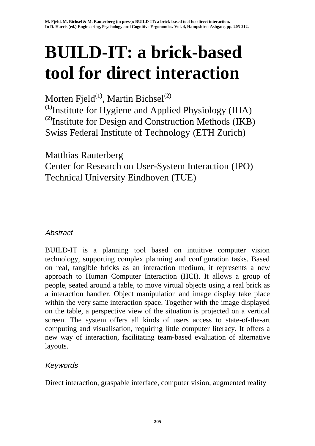# **BUILD-IT: a brick-based tool for direct interaction**

Morten Fjeld<sup>(1)</sup>, Martin Bichsel<sup>(2)</sup>

**(1)**Institute for Hygiene and Applied Physiology (IHA) **(2)**Institute for Design and Construction Methods (IKB) Swiss Federal Institute of Technology (ETH Zurich)

Matthias Rauterberg

Center for Research on User-System Interaction (IPO) Technical University Eindhoven (TUE)

## Abstract

BUILD-IT is a planning tool based on intuitive computer vision technology, supporting complex planning and configuration tasks. Based on real, tangible bricks as an interaction medium, it represents a new approach to Human Computer Interaction (HCI). It allows a group of people, seated around a table, to move virtual objects using a real brick as a interaction handler. Object manipulation and image display take place within the very same interaction space. Together with the image displayed on the table, a perspective view of the situation is projected on a vertical screen. The system offers all kinds of users access to state-of-the-art computing and visualisation, requiring little computer literacy. It offers a new way of interaction, facilitating team-based evaluation of alternative layouts.

## Keywords

Direct interaction, graspable interface, computer vision, augmented reality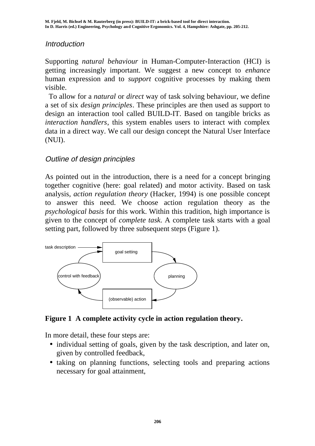#### Introduction

Supporting *natural behaviour* in Human-Computer-Interaction (HCI) is getting increasingly important. We suggest a new concept to *enhance* human expression and to *support* cognitive processes by making them visible.

 To allow for a *natural* or *direct* way of task solving behaviour, we define a set of six *design principles*. These principles are then used as support to design an interaction tool called BUILD-IT. Based on tangible bricks as *interaction handlers*, this system enables users to interact with complex data in a direct way. We call our design concept the Natural User Interface (NUI).

#### Outline of design principles

As pointed out in the introduction, there is a need for a concept bringing together cognitive (here: goal related) and motor activity. Based on task analysis, *action regulation theory* (Hacker, 1994) is one possible concept to answer this need. We choose action regulation theory as the *psychological basis* for this work. Within this tradition, high importance is given to the concept of *complete task*. A complete task starts with a goal setting part, followed by three subsequent steps (Figure 1).



**Figure 1 A complete activity cycle in action regulation theory.**

In more detail, these four steps are:

- individual setting of goals, given by the task description, and later on, given by controlled feedback,
- taking on planning functions, selecting tools and preparing actions necessary for goal attainment,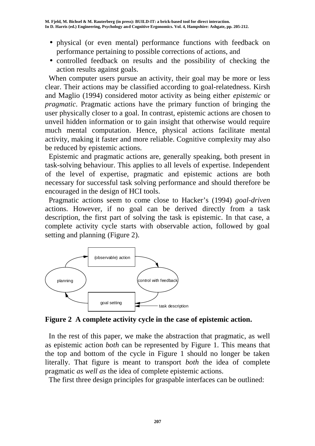- physical (or even mental) performance functions with feedback on performance pertaining to possible corrections of actions, and
- controlled feedback on results and the possibility of checking the action results against goals.

When computer users pursue an activity, their goal may be more or less clear. Their actions may be classified according to goal-relatedness. Kirsh and Maglio (1994) considered motor activity as being either *epistemic* or *pragmatic*. Pragmatic actions have the primary function of bringing the user physically closer to a goal. In contrast, epistemic actions are chosen to unveil hidden information or to gain insight that otherwise would require much mental computation. Hence, physical actions facilitate mental activity, making it faster and more reliable. Cognitive complexity may also be reduced by epistemic actions.

 Epistemic and pragmatic actions are, generally speaking, both present in task-solving behaviour. This applies to all levels of expertise. Independent of the level of expertise, pragmatic and epistemic actions are both necessary for successful task solving performance and should therefore be encouraged in the design of HCI tools.

 Pragmatic actions seem to come close to Hacker's (1994) *goal-driven* actions. However, if no goal can be derived directly from a task description, the first part of solving the task is epistemic. In that case, a complete activity cycle starts with observable action, followed by goal setting and planning (Figure 2).



**Figure 2 A complete activity cycle in the case of epistemic action.**

 In the rest of this paper, we make the abstraction that pragmatic, as well as epistemic action *both* can be represented by Figure 1. This means that the top and bottom of the cycle in Figure 1 should no longer be taken literally. That figure is meant to transport *both* the idea of complete pragmatic *as well as* the idea of complete epistemic actions.

The first three design principles for graspable interfaces can be outlined: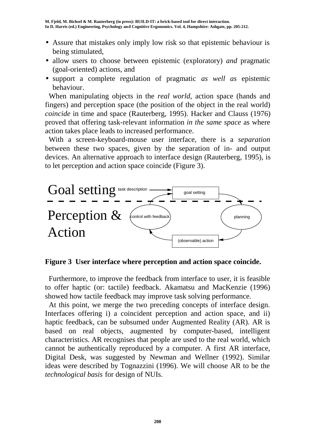- Assure that mistakes only imply low risk so that epistemic behaviour is being stimulated,
- allow users to choose between epistemic (exploratory) *and* pragmatic (goal-oriented) actions, and
- support a complete regulation of pragmatic *as well as* epistemic behaviour.

 When manipulating objects in the *real world*, action space (hands and fingers) and perception space (the position of the object in the real world) *coincide* in time and space (Rauterberg, 1995). Hacker and Clauss (1976) proved that offering task-relevant information *in the same space* as where action takes place leads to increased performance.

 With a screen-keyboard-mouse user interface, there is a *separation* between these two spaces, given by the separation of in- and output devices. An alternative approach to interface design (Rauterberg, 1995), is to let perception and action space coincide (Figure 3).



**Figure 3 User interface where perception and action space coincide.**

 Furthermore, to improve the feedback from interface to user, it is feasible to offer haptic (or: tactile) feedback. Akamatsu and MacKenzie (1996) showed how tactile feedback may improve task solving performance.

 At this point, we merge the two preceding concepts of interface design. Interfaces offering i) a coincident perception and action space, and ii) haptic feedback, can be subsumed under Augmented Reality (AR). AR is based on real objects, augmented by computer-based, intelligent characteristics. AR recognises that people are used to the real world, which cannot be authentically reproduced by a computer. A first AR interface, Digital Desk, was suggested by Newman and Wellner (1992). Similar ideas were described by Tognazzini (1996). We will choose AR to be the *technological basis* for design of NUIs.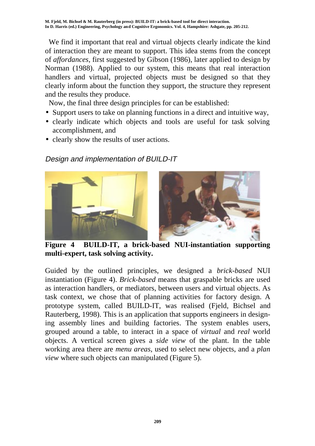We find it important that real and virtual objects clearly indicate the kind of interaction they are meant to support. This idea stems from the concept of *affordances*, first suggested by Gibson (1986), later applied to design by Norman (1988). Applied to our system, this means that real interaction handlers and virtual, projected objects must be designed so that they clearly inform about the function they support, the structure they represent and the results they produce.

Now, the final three design principles for can be established:

- Support users to take on planning functions in a direct and intuitive way,
- clearly indicate which objects and tools are useful for task solving accomplishment, and
- clearly show the results of user actions.

# Design and implementation of BUILD-IT



**Figure 4 BUILD-IT, a brick-based NUI-instantiation supporting multi-expert, task solving activity.**

Guided by the outlined principles, we designed a *brick-based* NUI instantiation (Figure 4). *Brick-based* means that graspable bricks are used as interaction handlers, or mediators, between users and virtual objects. As task context, we chose that of planning activities for factory design. A prototype system, called BUILD-IT, was realised (Fjeld, Bichsel and Rauterberg, 1998). This is an application that supports engineers in designing assembly lines and building factories. The system enables users, grouped around a table, to interact in a space of *virtual* and *real* world objects. A vertical screen gives a *side view* of the plant. In the table working area there are *menu areas*, used to select new objects, and a *plan view* where such objects can manipulated (Figure 5).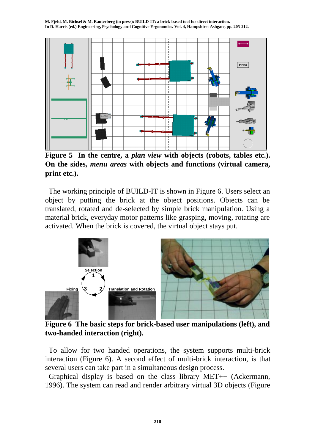**M. Fjeld, M. Bichsel & M. Rauterberg (in press): BUILD-IT: a brick-based tool for direct interaction. In D. Harris (ed.) Engineering, Psychology and Cognitive Ergonomics. Vol. 4, Hampshire: Ashgate, pp. 205-212.**



**Figure 5 In the centre, a** *plan view* **with objects (robots, tables etc.). On the sides,** *menu areas* **with objects and functions (virtual camera, print etc.).**

 The working principle of BUILD-IT is shown in Figure 6. Users select an object by putting the brick at the object positions. Objects can be translated, rotated and de-selected by simple brick manipulation. Using a material brick, everyday motor patterns like grasping, moving, rotating are activated. When the brick is covered, the virtual object stays put.



**Figure 6 The basic steps for brick-based user manipulations (left), and two-handed interaction (right).**

 To allow for two handed operations, the system supports multi-brick interaction (Figure 6). A second effect of multi-brick interaction, is that several users can take part in a simultaneous design process.

 Graphical display is based on the class library MET++ (Ackermann, 1996). The system can read and render arbitrary virtual 3D objects (Figure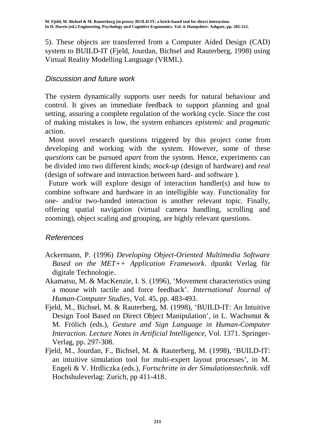5). These objects are transferred from a Computer Aided Design (CAD) system to BUILD-IT (Fjeld, Jourdan, Bichsel and Rauterberg, 1998) using Virtual Reality Modelling Language (VRML).

#### Discussion and future work

The system dynamically supports user needs for natural behaviour and control. It gives an immediate feedback to support planning and goal setting, assuring a complete regulation of the working cycle. Since the cost of making mistakes is low, the system enhances *epistemic* and *pragmatic* action.

 Most novel research questions triggered by this project come from developing and working with the system. However, some of these *questions* can be pursued *apart* from the system. Hence, experiments can be divided into two different kinds; *mock-up* (design of hardware) and *real* (design of software and interaction between hard- and software ).

 Future work will explore design of interaction handler(s) and how to combine software and hardware in an intelligible way. Functionality for one- and/or two-handed interaction is another relevant topic. Finally, offering spatial navigation (virtual camera handling, scrolling and zooming), object scaling and grouping, are highly relevant questions.

#### References

- Ackermann, P. (1996) *Developing Object-Oriented Multimedia Software Based on the MET++ Application Framework*. dpunkt Verlag für digitale Technologie.
- Akamatsu, M. & MacKenzie, I. S. (1996), 'Movement characteristics using a mouse with tactile and force feedback'. *International Journal of Human-Computer Studies*, Vol. 45, pp. 483-493.
- Fjeld, M., Bichsel, M. & Rauterberg, M. (1998), 'BUILD-IT: An Intuitive Design Tool Based on Direct Object Manipulation', in L. Wachsmut & M. Frölich (eds*.*), *Gesture and Sign Language in Human-Computer Interaction. Lecture Notes in Artificial Intelligence*, Vol. 1371. Springer-Verlag, pp. 297-308.
- Fjeld, M., Jourdan, F., Bichsel, M. & Rauterberg, M. (1998), 'BUILD-IT: an intuitive simulation tool for multi-expert layout processes', in M. Engeli & V. Hrdliczka (eds.), *Fortschritte in der Simulationstechnik*. vdf Hochshuleverlag: Zurich, pp 411-418.